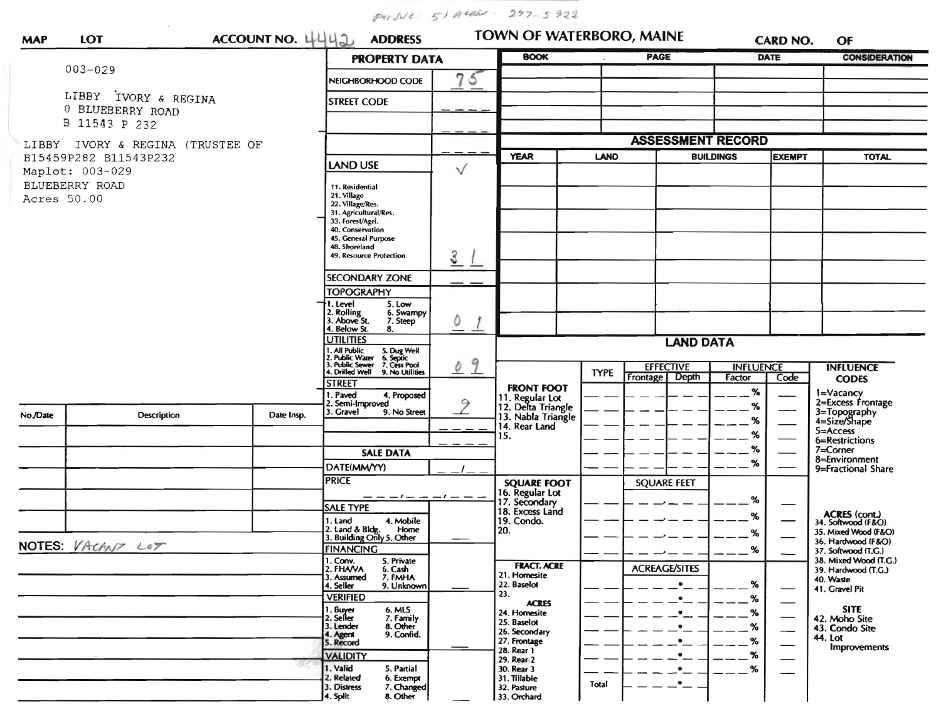Por Jule: 51 ARREL - 247-5922

| <b>MAP</b>  | <b>LOT</b>                                          | ACCOUNT NO. 4442<br><b>ADDRESS</b> |                                                              | TOWN OF WATERBORO, MAINE<br><b>BOOK</b>        |                                                             |             | <b>CARD NO.</b>                    | OF                                |                      |                                              |
|-------------|-----------------------------------------------------|------------------------------------|--------------------------------------------------------------|------------------------------------------------|-------------------------------------------------------------|-------------|------------------------------------|-----------------------------------|----------------------|----------------------------------------------|
|             | $003 - 029$                                         |                                    | <b>PROPERTY DATA</b>                                         |                                                |                                                             | <b>PAGE</b> |                                    | <b>DATE</b>                       | <b>CONSIDERATION</b> |                                              |
|             |                                                     |                                    | NEIGHBORHOOD CODE                                            | 75                                             |                                                             |             |                                    |                                   |                      |                                              |
|             | LIBBY IVORY & REGINA<br>0 BLUEBERRY ROAD            |                                    | <b>STREET CODE</b>                                           |                                                |                                                             |             |                                    |                                   |                      |                                              |
|             | B 11543 P 232                                       |                                    |                                                              |                                                |                                                             |             |                                    |                                   |                      |                                              |
|             |                                                     |                                    |                                                              |                                                |                                                             |             | <b>ASSESSMENT RECORD</b>           |                                   |                      |                                              |
| LIBBY       | IVORY & REGINA (TRUSTEE OF<br>B15459P282 B11543P232 |                                    |                                                              | <b>YEAR</b><br><b>LAND</b><br><b>BUILDINGS</b> |                                                             |             |                                    | <b>EXEMPT</b>                     | <b>TOTAL</b>         |                                              |
|             | Maplot: 003-029                                     | <b>LAND USE</b>                    | V                                                            |                                                |                                                             |             |                                    |                                   |                      |                                              |
|             | BLUEBERRY ROAD                                      | 11. Residential                    |                                                              |                                                |                                                             |             |                                    |                                   |                      |                                              |
| Acres 50.00 |                                                     |                                    | 21. Village<br>22. Village/Res.                              |                                                |                                                             |             |                                    |                                   |                      |                                              |
|             |                                                     |                                    | 31. Agricultural/Res.<br>33. Forest/Agri.                    |                                                |                                                             |             |                                    |                                   |                      |                                              |
|             |                                                     |                                    | 40. Conservation                                             |                                                |                                                             |             |                                    |                                   |                      |                                              |
|             |                                                     |                                    | 45. General Purpose<br>48. Shoreland                         |                                                |                                                             |             |                                    |                                   |                      |                                              |
|             |                                                     |                                    | 49. Resource Protection                                      | 3                                              |                                                             |             |                                    |                                   |                      |                                              |
|             |                                                     |                                    | <b>SECONDARY ZONE</b>                                        |                                                |                                                             |             |                                    |                                   |                      |                                              |
|             |                                                     |                                    | <b>TOPOGRAPHY</b>                                            |                                                |                                                             |             |                                    |                                   |                      |                                              |
|             |                                                     |                                    | I. Level<br>5. Low<br>6. Swampy                              |                                                |                                                             |             |                                    |                                   |                      |                                              |
|             |                                                     |                                    | 2. Rolling<br>3. Above St.<br>7. Steep<br>4. Below St.<br>8. | Õ                                              |                                                             |             |                                    |                                   |                      |                                              |
|             |                                                     |                                    | <b>UTILITIES</b>                                             |                                                | <b>LAND DATA</b>                                            |             |                                    |                                   |                      |                                              |
|             |                                                     |                                    | . All Public<br>. Public Water<br>5. Dug Well<br>6. Septic   |                                                |                                                             |             |                                    |                                   |                      |                                              |
|             |                                                     |                                    | Public Sewer 7. Cess Pool<br>Drilled Well 9. No Utilities    | 9<br>$\mathcal O$                              |                                                             | <b>TYPE</b> | <b>EFFECTIVE</b><br>Frontage Depth | <b>INFLUENCE</b>                  |                      | <b>INFLUENCE</b>                             |
|             |                                                     |                                    | <b>STREET</b>                                                |                                                | <b>FRONT FOOT</b>                                           |             |                                    | Factor<br>$\%$                    | Code                 | <b>CODES</b>                                 |
|             |                                                     |                                    | 1. Paved<br>4. Proposed<br>2. Semi-Improved                  | $\circ$                                        |                                                             |             |                                    | $\%$                              |                      | 1=Vacancy<br>2=Excess Frontage               |
| No./Date    | <b>Description</b>                                  | Date Insp.                         | 3. Gravel<br>9. No Street                                    |                                                | 11. Regular Lot<br>12. Delta Triangle<br>13. Nabla Triangle |             |                                    | %                                 |                      | 3=Topography<br>4=Size/Shape                 |
|             |                                                     |                                    |                                                              |                                                | 14. Rear Land<br>15.                                        |             |                                    | %                                 |                      | 5=Access                                     |
|             |                                                     |                                    |                                                              |                                                |                                                             |             |                                    | $\%$                              |                      | 6=Restrictions<br>7=Corner                   |
|             |                                                     |                                    | <b>SALE DATA</b>                                             |                                                |                                                             |             |                                    | %                                 |                      | 8=Environment                                |
|             |                                                     |                                    | DATE(MM/YY)<br><b>PRICE</b>                                  |                                                |                                                             |             |                                    |                                   |                      | 9=Fractional Share                           |
|             |                                                     |                                    | — — — ! — — — ! — — —                                        |                                                | <b>SQUARE FOOT</b><br>16. Regular Lot                       |             | <b>SQUARE FEET</b>                 |                                   |                      |                                              |
|             |                                                     |                                    | <b>SALE TYPE</b>                                             |                                                | 17. Secondary<br>18. Excess Land                            |             |                                    | %                                 |                      |                                              |
|             |                                                     |                                    | 1. Land<br>4. Mobile                                         |                                                | 19. Condo.                                                  |             |                                    | %                                 |                      | ACRES (cont.)<br>34. Softwood (F&O)          |
|             |                                                     |                                    | 2. Land & Bldg. Home<br>3. Building Only 5. Other<br>Home    |                                                | 20.                                                         |             |                                    | %                                 |                      | 35. Mixed Wood (F&O)<br>36. Hardwood (F&O)   |
|             | NOTES: VACANT LOT                                   |                                    | <b>FINANCING</b>                                             |                                                |                                                             |             |                                    | %                                 |                      | 37. Softwood (T.G.)                          |
|             |                                                     |                                    | 1. Conv.<br>5. Private<br>2. FHAVA<br>6. Cash                |                                                | <b>FRACT. ACRE</b>                                          |             | <b>ACREAGE/SITES</b>               |                                   |                      | 38. Mixed Wood (T.G.)<br>39. Hardwood (T.G.) |
|             |                                                     |                                    | 3. Assumed<br>7. FMHA<br>4. Seller<br>9. Unknown             |                                                | 21. Homesite<br>22. Baselot                                 |             | $\bullet$                          | $\%$                              |                      | 40. Waste                                    |
|             |                                                     |                                    | <b>VERIFIED</b>                                              |                                                | 23.                                                         |             | $\bullet$                          | $\%$                              |                      | 41. Gravel Pit                               |
|             |                                                     |                                    | 1. Buyer<br>6. MLS                                           |                                                | <b>ACRES</b><br>24. Homesite                                |             | $\bullet$                          | $\frac{9}{6}$                     | $\qquad \qquad$      | <b>SITE</b>                                  |
|             |                                                     |                                    | 2. Seller<br>7. Family<br>8. Other<br>3. Lender              |                                                | 25. Baselot                                                 |             | $\bullet$                          | $\%$                              |                      | 42. Moho Site<br>43. Condo Site              |
|             |                                                     |                                    | 9. Confid.<br>4. Agent<br>5. Record                          |                                                | 26. Secondary<br>27. Frontage                               |             | $\cdot$ $\overline{\phantom{a}}$   | $\frac{9}{6}$                     |                      | 44. Lot                                      |
|             |                                                     | <b>VALIDITY</b>                    |                                                              | 28. Rear 1<br>29. Rear 2                       |                                                             | $\cdot$ -   | %                                  | $\overbrace{\phantom{aaaaa}}^{x}$ | <b>Improvements</b>  |                                              |
|             |                                                     | 1. Valid<br>5. Partial             |                                                              | 30. Rear 3                                     |                                                             | $\cdot$ –   | %                                  |                                   |                      |                                              |
|             |                                                     |                                    | 2. Related<br>6. Exempt<br>7. Changed<br>3. Distress         |                                                | 31. Tillable<br>32. Pasture                                 | Total       | —•<br>—                            |                                   |                      |                                              |
|             |                                                     |                                    | 4. Split<br>8. Other                                         |                                                | 33. Orchard                                                 |             |                                    |                                   |                      |                                              |